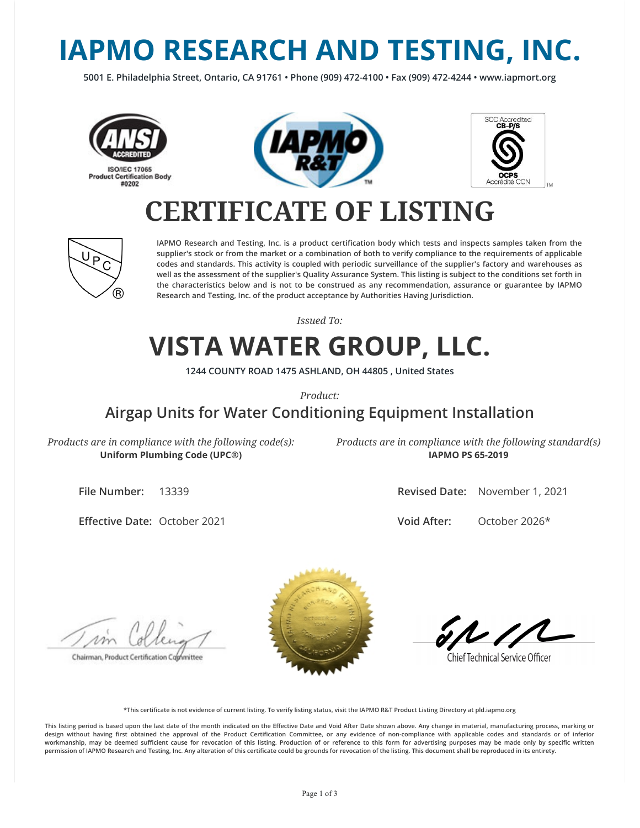# **IAPMO RESEARCH AND TESTING, INC.**

**5001 E. Philadelphia Street, Ontario, CA 91761 • Phone (909) 472-4100 • Fax (909) 472-4244 • www.iapmort.org**







## **CERTIFICATE OF LISTING**



**IAPMO Research and Testing, Inc. is a product certication body which tests and inspects samples taken from the supplier's stock or from the market or a combination of both to verify compliance to the requirements of applicable codes and standards. This activity is coupled with periodic surveillance of the supplier's factory and warehouses as well as the assessment of the supplier's Quality Assurance System. This listing is subject to the conditions set forth in the characteristics below and is not to be construed as any recommendation, assurance or guarantee by IAPMO Research and Testing, Inc. of the product acceptance by Authorities Having Jurisdiction.**

*Issued To:*

### **VISTA WATER GROUP, LLC.**

**1244 COUNTY ROAD 1475 ASHLAND, OH 44805 , United States**

*Product:*

#### **Airgap Units for Water Conditioning Equipment Installation**

*Products are in compliance with the following code(s):* **Uniform Plumbing Code (UPC®)**

*Products are in compliance with the following standard(s)* **IAPMO PS 65-2019**

**File Number:** 13339

**Effective Date: October 2021** 

**Revised Date:** November 1, 2021

**Void After:** October 2026\*

Chairman, Product Certification Committee



**Chief Technical Service Officer** 

**\*This certicate is not evidence of current listing. To verify listing status, visit the IAPMO R&T Product Listing Directory at pld.iapmo.org**

This listing period is based upon the last date of the month indicated on the Effective Date and Void After Date shown above. Any change in material, manufacturing process, marking or design without having first obtained the approval of the Product Certification Committee, or any evidence of non-compliance with applicable codes and standards or of inferior workmanship, may be deemed sufficient cause for revocation of this listing. Production of or reference to this form for advertising purposes may be made only by specific written **permission of IAPMO Research and Testing, Inc. Any alteration of this certicate could be grounds for revocation of the listing. This document shall be reproduced in its entirety.**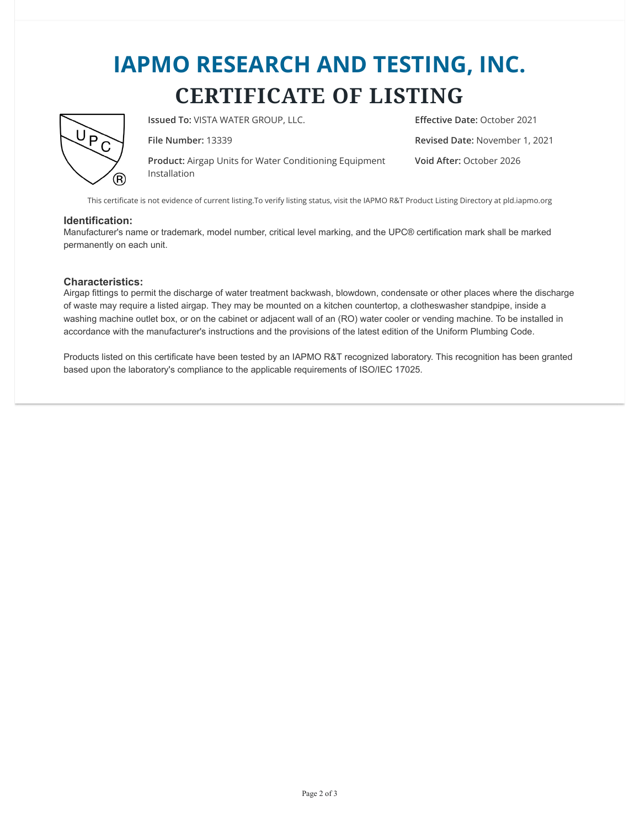## **IAPMO RESEARCH AND TESTING, INC. CERTIFICATE OF LISTING**



**Issued To: VISTA WATER GROUP, LLC. Effective Date:** October 2021

**Product:** Airgap Units for Water Conditioning Equipment Installation

**File Number:** 13339 **Revised Date:** November 1, 2021 **Void After:** October 2026

This certificate is not evidence of current listing.To verify listing status, visit the IAPMO R&T Product Listing Directory at pld.iapmo.org

#### **Identification:**

Manufacturer's name or trademark, model number, critical level marking, and the UPC® certification mark shall be marked permanently on each unit.

#### **Characteristics:**

Airgap fittings to permit the discharge of water treatment backwash, blowdown, condensate or other places where the discharge of waste may require a listed airgap. They may be mounted on a kitchen countertop, a clotheswasher standpipe, inside a washing machine outlet box, or on the cabinet or adjacent wall of an (RO) water cooler or vending machine. To be installed in accordance with the manufacturer's instructions and the provisions of the latest edition of the Uniform Plumbing Code.

Products listed on this certificate have been tested by an IAPMO R&T recognized laboratory. This recognition has been granted based upon the laboratory's compliance to the applicable requirements of ISO/IEC 17025.